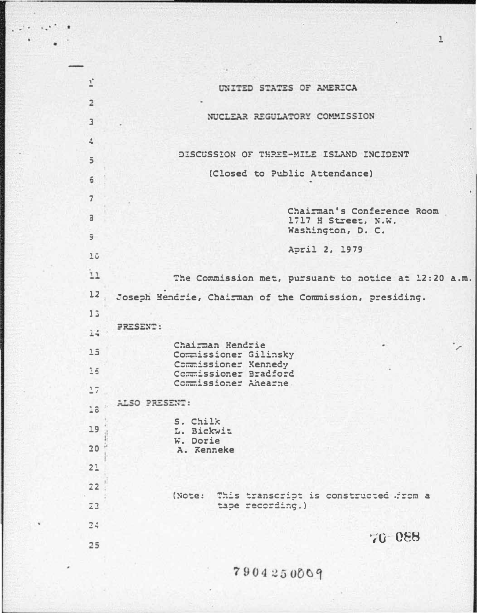| $1^{\circ}$             | UNITED STATES OF AMERICA                                               |
|-------------------------|------------------------------------------------------------------------|
| $\overline{\mathbf{c}}$ | NUCLEAR REGULATORY COMMISSION                                          |
| $\overline{3}$          |                                                                        |
| 4                       | DISCUSSION OF THREE-MILE ISLAND INCIDENT                               |
| $\overline{5}$          |                                                                        |
| 6                       | (Closed to Public Attendance)                                          |
| $\overline{7}$          |                                                                        |
| 3                       | Chairman's Conference Room<br>1717 H Street, N.W.<br>Washington, D. C. |
| 9                       |                                                                        |
| 15                      | April 2, 1979                                                          |
| $\mathbf{11}$           | The Commission met, pursuant to notice at 12:20 a.m.                   |
| 12                      | Joseph Hendrie, Chairman of the Commission, presiding.                 |
| 13                      |                                                                        |
| $14 -$                  | PRESENT:                                                               |
| 15                      | Chairman Hendrie<br>Commissioner Gilinsky                              |
| 16                      | Commissioner Kennedy<br>Commissioner Bradford                          |
| 17                      | Commissioner Ahearne.                                                  |
| 18                      | ALSO PRESENT:                                                          |
|                         | S. Chilk                                                               |
| 19                      | L. Bickwit<br>W. Dorie                                                 |
| 20                      | A. Kenneke                                                             |
| 2:                      |                                                                        |
| 22                      |                                                                        |
| 23                      | This transcript is constructed from a<br>(Note:<br>tape recording.)    |
| 24                      | 70 088                                                                 |
| 25                      |                                                                        |
|                         | 7904250009                                                             |
|                         |                                                                        |

 $\overline{1}$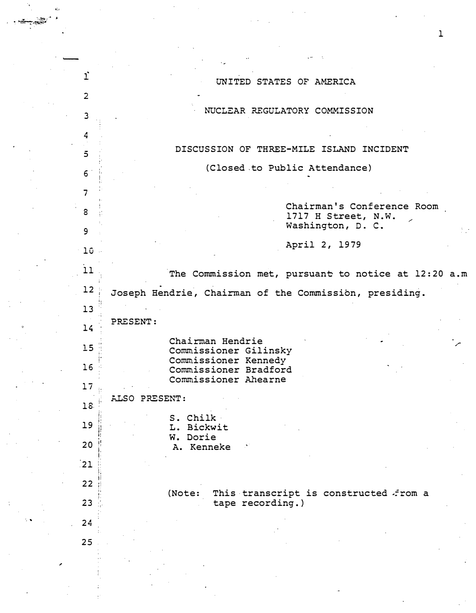| $\mathbf{1}^{\circ}$    | UNITED STATES OF AMERICA                                            |
|-------------------------|---------------------------------------------------------------------|
| $\overline{2}$          |                                                                     |
| $\overline{\mathbf{3}}$ | NUCLEAR REGULATORY COMMISSION                                       |
| 4                       |                                                                     |
| $\overline{5}$          | DISCUSSION OF THREE-MILE ISLAND INCIDENT                            |
| $6\overline{6}$         | (Closed to Public Attendance)                                       |
| $\overline{7}$          |                                                                     |
| 8                       | Chairman's Conference Room<br>1717 H Street, N.W.                   |
| 9                       | Washington, D. C.                                                   |
| $10 -$                  | April 2, 1979                                                       |
| 11                      | The Commission met, pursuant to notice at 12:20 a.m                 |
| 12                      | Joseph Hendrie, Chairman of the Commission, presiding.              |
| 13                      |                                                                     |
| 14                      | PRESENT:                                                            |
| 15                      | Chairman Hendrie<br>Commissioner Gilinsky                           |
| 16                      | Commissioner Kennedy<br>Commissioner Bradford                       |
| 17                      | Commissioner Ahearne                                                |
| 18                      | ALSO PRESENT:                                                       |
| 19                      | S. Chilk<br>L. Bickwit                                              |
| 20                      | W. Dorie<br>A. Kenneke                                              |
| 21                      |                                                                     |
| 22                      |                                                                     |
| 23                      | (Note:<br>This transcript is constructed from a<br>tape recording.) |
| 24                      |                                                                     |
| 25                      |                                                                     |
|                         |                                                                     |
|                         |                                                                     |
|                         |                                                                     |

 $\mathcal{L}$ 

 $\mathcal{A}$ 

-

,

1

 $\frac{1}{2}$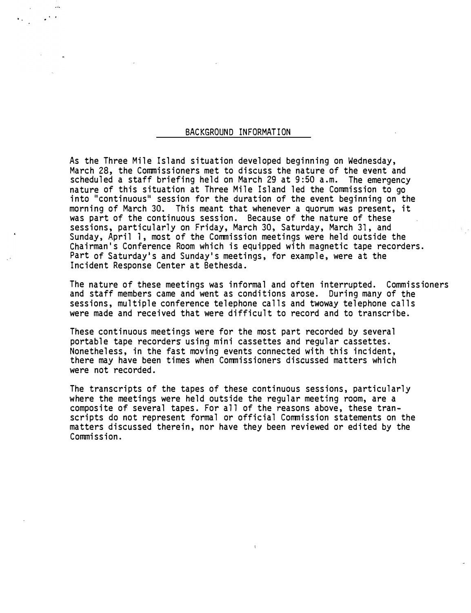## BACKGROUND INFORMATION

 $_{\rm{eff}}$ 

As the Three Mile Island situation developed beginning on Wednesday, March 28, the Commissioners met to discuss the nature of the event and scheduled a staff briefing held on March 29 at 9:50 a.m. The emergency nature of this situation at Three Mile Island led the Commission to go into "continuous" session for the duration of the event beginning on the morning of March 30. This meant that whenever a quorum was present, it was part of the continuous session. Because of the nature of these sessions, particularly on Friday, March 30, Saturday, March 31, and Sunday, April 1, most of the Commission meetings were held outside the Chairman's Conference Room which is equipped with magnetic tape recorders. Part of Saturday's and Sunday's meetings, for example, were at the Incident Response Center at Bethesda.

The nature of these meetings was informal and often interrupted. Commissioners and staff members came and went as conditions arose. During many of the sessions, multiple conference telephone calls and twoway telephone calls were made and received that were difficult to record and to transcribe.

These continuous meetings were for the most part recorded by several portable tape recorders using mini cassettes and regular cassettes. Nonetheless, in the fast moving events connected with this incident, there may have been times when Commissioners discussed matters which were not recorded.

The transcripts of the tapes of these continuous sessions, particularly where the meetings were held outside the regular meeting room, are a composite of several tapes. For all of the reasons above, these transcripts do not represent formal or official Commission statements on the matters discussed therein, nor have they been reviewed or edited by the Commission.

 $\ddot{\phantom{a}}$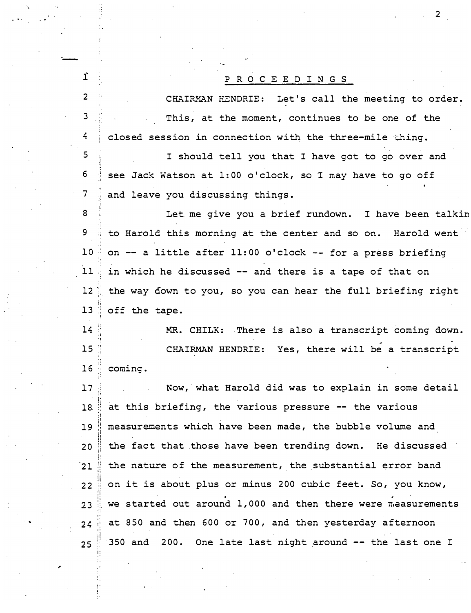## P R 0 C E E D I N G S

-

 $\mathbf{i}$ 

2

3

4

...

CHAIRMAN HENDRIE: Let's call the meeting to order . This, at the moment, continues to be one of the closed session in connection with the three-mile thing.

 $5^{\circ}$ ;;  $6$ ;,  $7 \,$ !i I should tell you that I have got to go over and see Jack Watson at 1:00 o'clock, so I may have to go off and leave you discussing things.

ii 8 i Let me give you a brief rundown. I have been talkin 9 ; to Harold this morning at the center and so on. Harold went  $10$  on  $-$  a little after 11:00 o'clock  $-$  for a press briefing  $11$  in which he discussed  $-$  and there is a tape of that on 12 the way down to you, so you can hear the full briefing right I. ;! 1<sup>3</sup> ' off the tape .

 $14$ ·' ,j .,  $15$ ; ; <sup>16</sup> coming. MR. CHILK: There is also a transcript coming down. CHAIRMAN HENDRIE: Yes, there will be a transcript

17 Now, what Harold did was to explain in some detail 18. at this briefing, the various pressure -- the various 19 measurements which have been made, the bubble volume and  $20$  the fact that those have been trending down. He discussed  $21$  the nature of the measurement, the substantial error band  $22$  on it is about plus or minus 200 cubic feet. So, you know, .  $23$  we started out around 1,000 and then there were measurements  $24$  at 850 and then 600 or 700, and then yesterday afternoon  $25$   $350$  and  $200$ . One late last night around  $-$  the last one I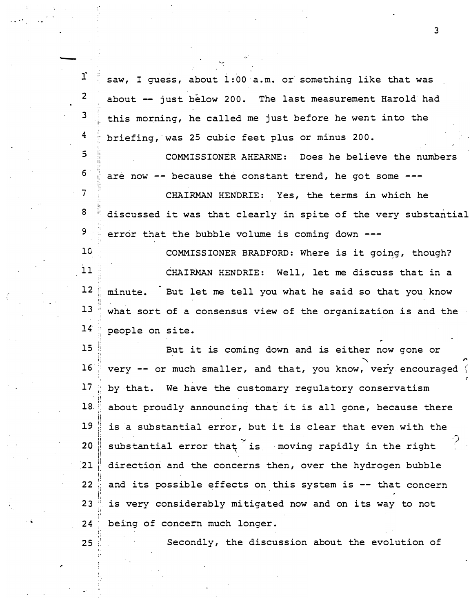r saw, I guess, about 1:00 a.m. or something like that was  $\overline{2}$ about -- just below 200. The last measurement Harold had 3 this morning, he called me just before he went into the 4 briefing, was 25 cubic feet plus or minus 200.

 $\overline{5}$ COMMISSIONER AHEARNE: Does he believe the numbers 6 are now -- because the constant trend, he got some ---

CHAIRMAN HENDRIE: Yes, the terms in which he discussed it was that clearly in spite of the very substantial error that the bubble volume is coming down ---

 $10$ COMMISSIONER BRADFORD: Where is it going, though?  $11$ CHAIRMAN HENDRIE: Well, let me discuss that in a  $12$ minute. But let me tell you what he said so that you know  $13$ what sort of a consensus view of the organization is and the  $14$ people on site.

 $15$ But it is coming down and is either now gone or  $16$ very -- or much smaller, and that, you know, very encouraged  $17$ by that. We have the customary regulatory conservatism 18. about proudly announcing that it is all gone, because there 19 is a substantial error, but it is clear that even with the substantial error that is moving rapidly in the right 20  $21$ direction and the concerns then, over the hydrogen bubble  $22$ and its possible effects on this system is -- that concern  $23$ is very considerably mitigated now and on its way to not  $24$ being of concern much longer.

25

 $\overline{7}$ 

8

9

Secondly, the discussion about the evolution of

 $\overline{3}$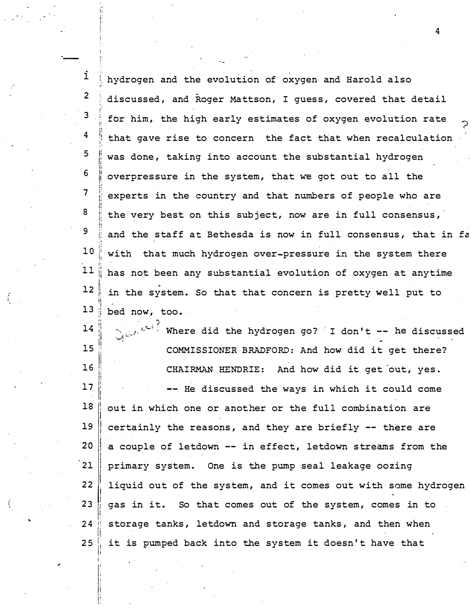i hydrogen and the evolution of oxygen and Harold also 2 discussed, and Roger Mattson, I guess, covered that detail · : 3 ;. for him, the high early estimates of oxygen evolution rate !' ? i! " 4 that gave rise to concern the fact that when recalculation :I I. 5 li was done, taking into account the substantial hydrogen ii l. 6 II II overpressure in the system, that we got out to all the l; 7 I' experts in the country and that numbers of people who are I , ; li<br>ii 8 the very best on this subject, now are in full consensus, !: !¦ !! 9 ; : and the staff at Bethesda is now in full consensus, that in fa J! !! ·'  $\mathbf{.}$ ,. 10 :, with that much hydrogen over-pressure in the system there I ' !I 1: •I 11 has not been any subs tantial evolution of oxygen at anytime 1i !: 12 in the system. So that that concern is pretty well put to I· ji .. ., 13 bed now, too. ;: ; � ji  $10<sup>2</sup>$ II Where did the hydrogen go? I don't  $--$  he discussed 14 ·f · H

15 16 17 18 19 20 21 22 <sup>I</sup>23  $24$ 25 !!<br>!! li j; !!<br>!!  $\mathop{||}$ ll<br>ll<br>ll  $\prod_{i=1}^n$ j l I I! I i I i i ||<br>||<br>!! I!  $\mathbf{H}$  $\prod\limits_{i=1}^{n}$ i<br>!! li COMMISSIONER BRADFORD: And how did it get there? CHAIRMAN HENDRIE: And how did it get out, yes. -- He discussed the ways in which it could come out in which one or another or the full combination are certainly the reasons, and they are briefly -- there are a couple of letdown -- in effect, letdown streams from the primary system. One is the pump seal leakage oozing liquid out of the system, and it comes out with some hydrogen gas in it. So that comes out of the system, comes in to storage tanks, letdown and storage tanks, and then when it is pumped back into the system it doesn't have that

/

,

i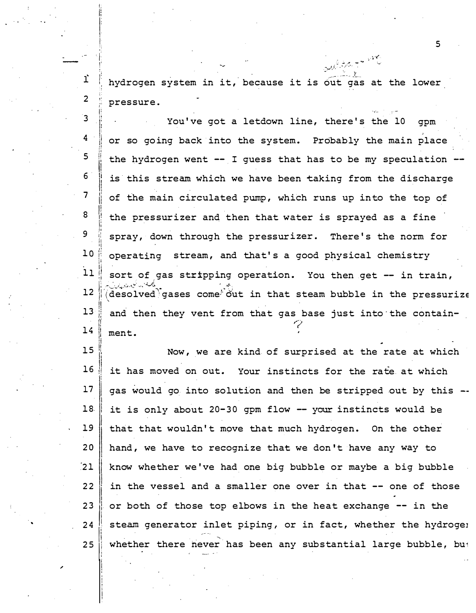hydrogen system in it, because it is out gas at the lower , . f. pressure.

 $\mathcal{L}(\hat{\mathcal{L}}, \hat{\mathcal{L}}, \hat{\mathcal{L}})$ 

1: li

**I.**<br>I.<br>I.

|<br>|<br>|<br>| I '

- .1· . '

2

ī,

3 4 5 6 7 8 9 H I; li I! " i i ll. li It I' II I  $\frac{1}{2}$ ,! I! You've got a letdown line, there's the 10 gpm or so going back into the system. Probably the main place the hydrogen went -- I guess that has to be my speculation is this stream which we have been taking from the discharge of the main circulated pump, which runs up into the top of the pressurizer and then that water is sprayed as a fine i: spray, down through the pressurizer. There's the norm for !! " 10 operating stream, and that's a good physical chemistry t  $11$  sort of gas stripping operation. You then get -- in train,  $12$   $\ddot{\text{[(desolved)} }$  gases come<sup> $\ddot{\text{.}}$  out in that steam bubble in the pressurize</sup>  $13$ ; and then they vent from that gas base just into the contain- $14$  ment.

15 H Now, we are kind of surprised at the rate at which  $16$  it has moved on out. Your instincts for the rate at which  $17$  gas would go into solution and then be stripped out by this  $-$ I 18 | it is only about 20-30 gpm flow  $-$  your instincts would be I  $19$  that that wouldn't move that much hydrogen. On the other 20  $\begin{array}{c|c|c} 21 & 22 & 23 \\ 23 & 24 & 25 \\ 23 & 24 & 25 \\ \hline \end{array}$  $\begin{array}{c} 23 \\ 24 \end{array}$ |<br>|<br>| l 25 hand, we have to recognize that we don't have any way to know whether we've had one big bubble or maybe a big bubble in the vessel and a smaller one over in that -- one of those or both of those top elbows in the heat exchange -- in the steam generator inlet piping, or in fact, whether the hydrogel whether there never has been any substantial large bubble, but

. The contract of the contract of the contract of the contract of the contract of  $5$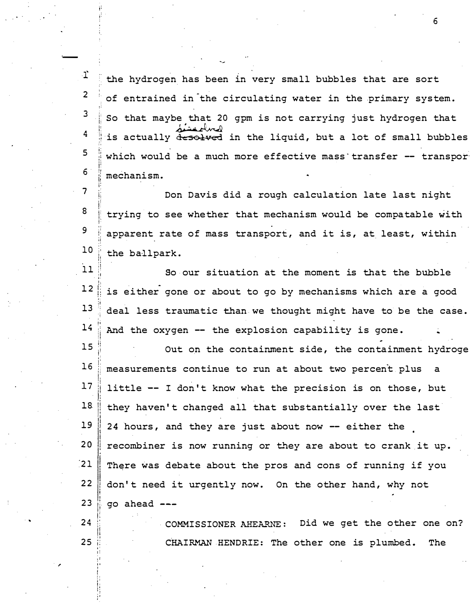T the hydrogen has been in very small bubbles that are sort  $2$   $\frac{1}{2}$  of entrained in the circulating water in the primary system.  $3$   $\pm$  So that maybe that 20 gpm is not carrying just hydrogen that 4 is actually desolved in the liquid, but a lot of small bubbles :' :  $5$  ; which would be a much more effective mass transfer  $-$  transpor  $6$   $\frac{1}{1}$  mechanism.

-.

·-

j:

!l

,, :I

 $7$   $\parallel$  Don Davis did a rough calculation late last night  $8$  trying to see whether that mechanism would be compatable with r 9 apparent rate of mass transport, and it is, at least, within w.  $10$ i, u the ballpark.

11  $\mathbf{r}$ ; , . ·- !: So our situation at the moment is that the bubble  $12 \parallel$  is either gone or about to go by mechanisms which are a good  $13$  deal less traumatic than we thought might have to be the case. ji 14 H And the oxygen -- the explosion capability is gone.

 $15$ ,; I i �  $16$ i:  $17$ li 18 -1! 19 <sup>I</sup> I i 20 !  $\left(21\right)$ ' I <sup>22</sup>I !<br>! i, ! I  $23$ ' I' I' Out on the containment side, the containment hydroge measurements continue to run at about two percent plus little  $--$  I don't know what the precision is on those, but they haven 't changed all that substantially over the last 24 hours, and they are just about now -- either the recombiner is now running or they are about to crank it up. There was debate about the pros and cons of running if you don't need it urgently now. On the other hand, why not go ahead

i:  $24$ :; !I  $25$ ,, COMMISSIONER AHEARNE: Did we get the other one on? CHAIRMAN HENDRIE: The other one is plumbed. The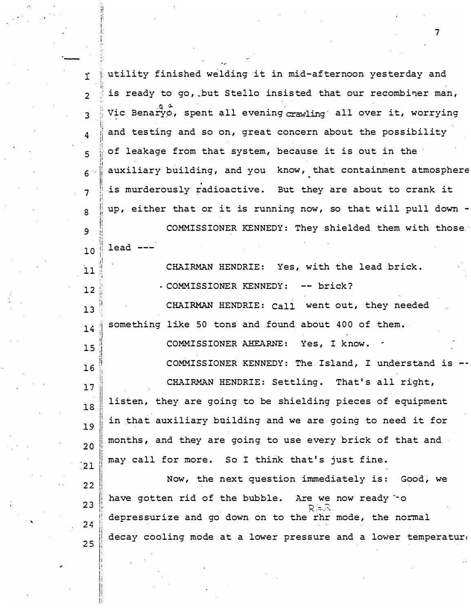iutility finished welding it in mid-afternoon yesterday and T. is ready to go, but Stello insisted that our recombiner man,  $\overline{\phantom{0}}$ Vic Benaryo, spent all evening crawling all over it, worrying  $\mathbf{3}$ and testing and so on, great concern about the possibility  $\boldsymbol{\Delta}$ of leakage from that system, because it is out in the  $\overline{\phantom{0}}$ auxiliary building, and you know, that containment atmosphere  $6^{\circ}$ is murderously radioactive. But they are about to crank it  $\overline{7}$ up, either that or it is running now, so that will pull down - $\mathbf{R}$ COMMISSIONER KENNEDY: They shielded them with those 9  $lead$  --- $10$ CHAIRMAN HENDRIE: Yes, with the lead brick.  $11$ - COMMISSIONER KENNEDY: -- brick?  $12$ CHAIRMAN HENDRIE: Call went out, they needed  $13$ something like 50 tons and found about 400 of them.  $14$ Yes, I know. COMMISSIONER AHEARNE:  $15$ COMMISSIONER KENNEDY: The Island, I understand is  $16$ CHAIRMAN HENDRIE: Settling. That's all right,  $17$ listen, they are going to be shielding pieces of equipment  $18$ in that auxiliary building and we are going to need it for 19 months, and they are going to use every brick of that and  $20$ may call for more. So I think that's just fine.  $21$ Now, the next question immediately is: Good, we  $22$ have gotten rid of the bubble. Are we now ready "o  $23$ depressurize and go down on to the rhr mode, the normal  $24$ decay cooling mode at a lower pressure and a lower temperature 25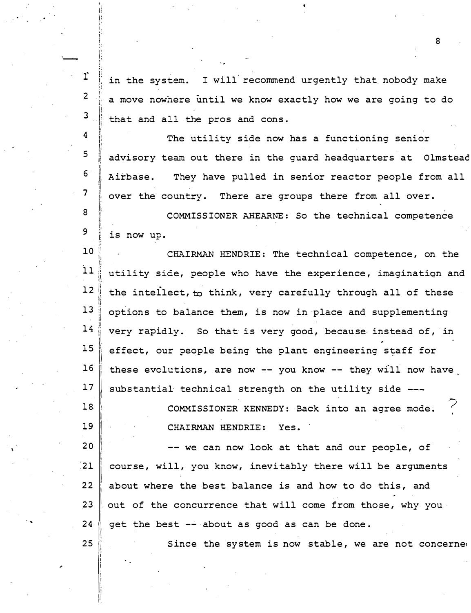r I! in the system. :: !: I will recommend urgently that nobody make 2 a move nowhere until we know exactly how we are going to do 3 li<br>|<br>|<br>| that and all the pros and cons.

.•

 $\cdot$  .

-

I. II j: i· i i j I' I· p

,, i t

 $18.$ 

<sup>19</sup>1

25

ll<br>|-<br>|-<br>|-

II

I

4 li !l ii The utility side now has a functioning senior  $5$  | advisory team out there in the guard headquarters at Olmstead I' 6  $\|\hspace{1ex}\|$ Airbase. They have pulled in senior reactor people from all 7 over the country. There are groups there from all over. <sup>8</sup>i I COMMISSIONER AHEARNE: So the technical competence 9 !I is now up.

10<br>i1 CHAIRMAN HENDRIE: The technical competence, on the utility side, people who have the experience, imagination and 1: 12 the intellect, to think, very carefully through all of these<br>13 options to balance them is now in place and supplementing options to balance them, is now in place and supplementing  $14$  very rapidly. So that is very good, because instead of, in  $15$  effect, our people being the plant engineering staff for  $16$  these evclutions, are now -- you know -- they will now have  $17$  substantial technical strength on the utility side ---

> COMMISSIONER KENNEDY: Back into an agree mode. CHAIRMAN HENDRIE: Yes.

I  $20$ i -- we can now look at that and our people, of  $\overline{21}$ 21 course, will, you know, inevitably there will be arguments<br>22 about where the best balance is and how to do this, and 23  $\parallel$  out of the concurrence that will come from those, why you  $24$  | get the best  $--$  about as good as can be done.

Since the system is now stable, we are not concerned

8

?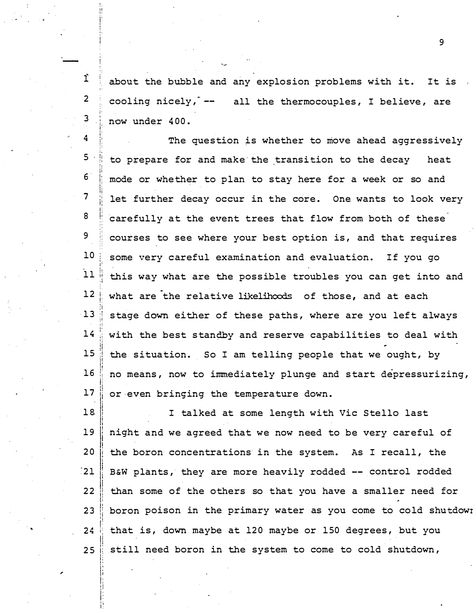$\hat{I}$  about the bubble and any explosion problems with it. It is l· ' i cooling nicely,  $--$  all the thermocouples, I believe, are now under 400.

 $\boldsymbol{4}$ ;  $5<sup>1</sup>$ 6" 7 8 9 10 11 12 13 14 15 16 17 The question is whether to move ahead aggressively to prepare for and make-the transition to the decay heat mode or whe ther to plan to stay here for a week or so and let further decay occur in the core. One wants to look very carefully at the event trees that flow from both of these courses to see where your best option is, and that requires some very careful examination and evaluation. If you go this way what are the possible troubles you can get into and what are the relative likelihoods of those, and at each stage down either of these paths, where are you left always with the best standby and reserve capabilities to deal with the situation. So I am telling people that we ought, by no means, now to immediately plunge and s tart depressurizing, or even bringing the temperature down.

1& 19 20  $\frac{1}{21}$ 22 23 24 25 I talked at some length with Vic Stello last night and we agreed that we now need to be very careful of the boron concentrations in the system. As I recall, the B&W plants, they are more heavily rodded -- control rodded than some of the others so that you have a smaller need for boron poison in the primary water as you come to cold shutdowr that is, down maybe at 120 maybe or 150 degrees, but you still need boron in the system to come to cold shutdown,

,

2

3 '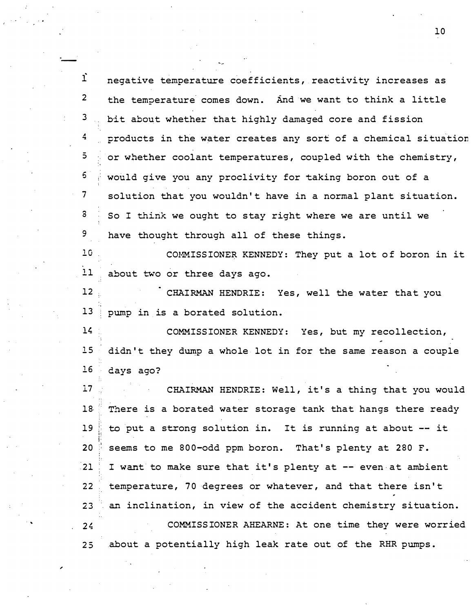| $\mathbf{i}$    | negative temperature coefficients, reactivity increases as     |
|-----------------|----------------------------------------------------------------|
| $\overline{2}$  | the temperature comes down. And we want to think a little      |
| 3               | bit about whether that highly damaged core and fission         |
| $\frac{4}{2}$   | products in the water creates any sort of a chemical situation |
| $\overline{5}$  | or whether coolant temperatures, coupled with the chemistry,   |
| 5               | would give you any proclivity for taking boron out of a        |
| 7               | solution that you wouldn't have in a normal plant situation.   |
| 3               | So I think we ought to stay right where we are until we        |
| 9               | have thought through all of these things.                      |
| 10              | COMMISSIONER KENNEDY: They put a lot of boron in it            |
| 11              | about two or three days ago.                                   |
| 12              | CHAIRMAN HENDRIE: Yes, well the water that you                 |
| 13              | pump in is a borated solution.                                 |
| 14              | COMMISSIONER KENNEDY: Yes, but my recollection,                |
| 15              | didn't they dump a whole lot in for the same reason a couple   |
| 16              | days ago?                                                      |
| 17 <sub>2</sub> | CHAIRMAN HENDRIE: Well, it's a thing that you would            |
| 18              | There is a borated water storage tank that hangs there ready   |
| 19              | to put a strong solution in. It is running at about -- it      |
| 20 <sub>2</sub> | seems to me 800-odd ppm boron. That's plenty at 280 F.         |
| $-21$           | I want to make sure that it's plenty at -- even at ambient     |
| 22              | temperature, 70 degrees or whatever, and that there isn't      |
| 23              | an inclination, in view of the accident chemistry situation.   |
| 24              | COMMISSIONER AHEARNE: At one time they were worried            |
| 25              | about a potentially high leak rate out of the RHR pumps.       |

-

. '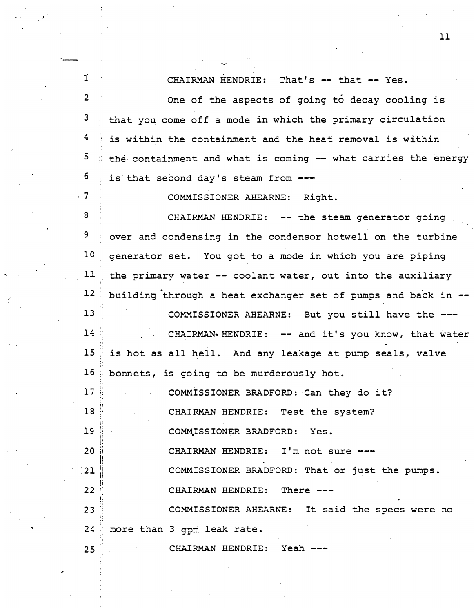$\mathbf{r}$ CHAIRMAN HENDRIE: That's -- that -- Yes. 2 One of the aspects of going to decay cooling is 3 that you come off a mode in which the primary circulation ,, 4 is within the containment and the heat removal is within , : 5 the containment and what is coming -- what carries the energy I· 6 j! is that second day's steam from ---..  $.7$ COMMISSIONER AHEARNE: Right . 8 CHAIRMAN HENDRIE: -- the steam generator going  $9$  over and condensing in the condensor hotwell on the turbine  $10$  generator set. You got to a mode in which you are piping  $11$  the primary water  $-$  coolant water, out into the auxiliary 12 building through a heat exchanger set of pumps and back in  $-$ ., 13 COMMISSIONER AHEARNE: But you still have the ---14 CHAIRMAN-HENDRIE: -- and it's you know, that water ' " ·; 15 is hot as all hell. And any leakage at pump seals, valve " 16 bonnets, is going to be murderously hot. :: 17 COMMISSIONER BRADFORD: Can they do i t? ,. ;1 18 CHAIRMAN HENDRIE: Test the system? " 19 COMMISSIONER BRADFORD: Yes. :! 1: i: II CHAIRMAN HENDRIE: I'm not sure ---20 j! ll

COMMISSIONER BRADFORD: That or just the pumps.

CHAIRMAN HENDRIE: There ---

23 :: ·' i: ' COMMISSIONER AHEARNE: It said the specs were no  $24$  more than 3 gpm leak rate.

25 CHAIRMAN HENDRIE: Yeah ---

. .

,

 $21$ 

li i'

22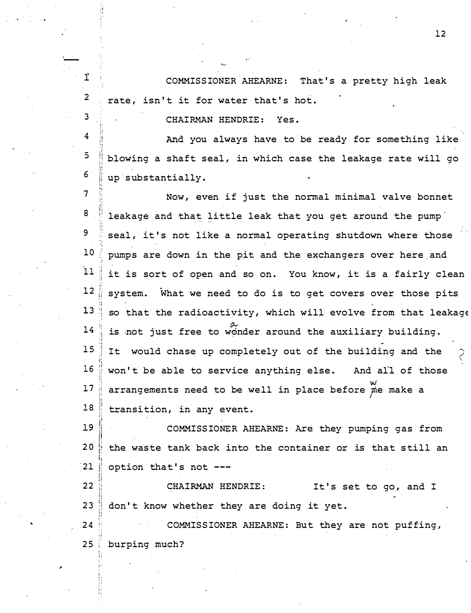COMMISSIONER AHEARNE: That's a pretty high leak rate, isn't it for water that's hot.

CHAIRMAN HENDRIE: Yes.

.<br>—

,

1

I ,,

2

3

,.

� i

i:

,;

ii I'

4  $5^{\circ}$ 6 ;i ., i! And you always have to be ready for something like blowing a shaft seal, in which case the leakage rate will go !! 'I i: I; up substantially.

7 8 9 10 11 12 13 14 15 16 17 18. :· l: ,. Now, even if just the normal minimal valve bonnet leakage and that little leak that you get around the pump � ; ., seal, it's not like a normal operating shutdown where those pumps are down in the pit and the exchangers over here and .! : it is sort of open and so on. You know, it is a fairly clean  $\mathop{\parallel}$  system. What we need to do is to get covers over those pits :t so that the radioactivity, which will evolve from that leakage is not just free to wonder around the auxiliary building. •I I! :! It would chase up completely out of the building and the i; il won't be able to service anything else. And all of those<br>we are the service anything else. arrangements need to be well in place before  $\stackrel{w}{\cancel{\mu}}$  make a ) : !! i transition, in any event.  $\zeta$ 

19 20 21 i[ li li J:  $\prod\limits_{i=1}^N$ 1: COMMISSIONER AHEARNE: Are they pumping gas from the waste tank back into the container or is that still an option that's not ---

22 23  $\prod\limits_{i=1}^{n}$ � ; :! " li. CHAIRMAN HENDRIE: It's set to go, and I li. don't know whether they are doing it yet.

24 25 !· ;: COMMISSIONER AHEARNE: But they are not puffing, '' � ; burping much? '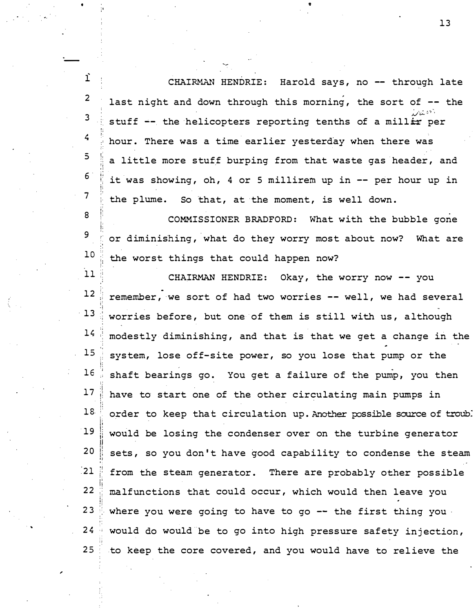<sub>1</sub> 2 3  $\overline{4}$ ! CHAIRMAN HENDRIE: Harold says, no -- through late last night and down through this morning, the sort of  $-$ - the  $\mu$  $\omega_{\mathrm{max}}$ stuff -- the helicopters reporting tenths of a mill<del>ir</del> per hour. There was a time earlier yesterday when there was 5 ·I a little more stuff burping from that waste gas header, and ,,  $16$  it was showing, oh, 4 or 5 millirem up in -- per hour up in  $\overline{7}$ the plume. So that, at the moment, is well down.

v

-

�

8 i: 9 '• 10 ; : COMMISSIONER BRADFORD: What with the bubble gone or diminishing, what do they worry most about now? What are the worst things that could happen now?

11 ..  $12$ !, ·i 13 <sup>I</sup> 14 15 CHAIRMAN HENDRIE: Okay, the worry now -- you remember, we sort of had two worries -- well, we had several worries before, but one of them is still with us, although modestly diminishing, and that is that we get a change in the system, lose off-site power, so you lose that pump or the  $16$  , shaft bearings go. You get a failure of the pump, you then  $17$  have to start one of the other circulating main pumps in  $\frac{1}{2}$ 18.  $19$ li  $20$ 21 22 23 24 25 '' . :: li !!<br>!! i ., ,. ·i order to keep that circulation up. Another possible source of troub: would be losing the condenser over on the turbine generator sets, so you don't have good capability to condense the steam from the steam generator. There are probably other possible malfunctions that could occur, which would then leave you where you were going to have to go -- the first thing you. would do would be to go into high pressure safety injection, to keep the core covered, and you would have to relieve the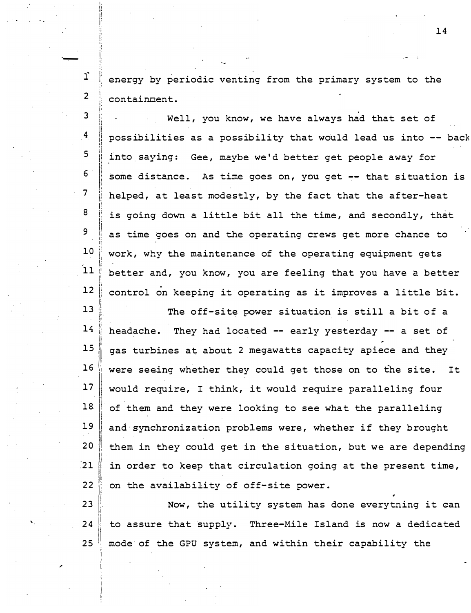։<br>!<br>! I : '· ,, energy by periodic venting from the primary system to the containment.

I. I ! li !: ' i: ,. t; I. ·:

,;

I•

i

·� i

 $\mathbf{I}$ 

 $\overline{2}$ 

3 i: 'li ,,  $4<sub>l</sub>$ I' li. ij.  $5$ li<br>!! 6 !<br>! ,! 7 ,. ii 8 i: <sup>9</sup>li 'I !I i: !! 10 ,, l' 'i I• II  $11$ |<br>|<br>| ! I· ,,  $12$ Well, you know, we have always had that set of possibilities as a possibility that would lead us into -- back into saying: Gee, maybe we 'd better get people away for some distance. As time goes on, you get -- that situation is helped, at least modestly, by the fact that the after-heat is going down a little bit all the time, and secondly, that as time goes on and the operating crews get more chance to work, why the maintenance of the operating equipment gets better and, you know, you are feeling that you have a better control on keeping it operating as it improves a little bit.

13  $\ddot{\phantom{1}}$ ii 14 p ·' il 15 !  $16$  $17$ I I 18. I I 19 20 21 22 The off-site power situation is still a bit of a headache. They had located -- early yesterday -- a set of gas turbines at about 2 megawatts capacity apiece and they were seeing whether they could get those on to the site. It would require, I think, it would require paralleling four of them and they were looking to see what the paralleling and synchronization problems were, whether if they brought them in they could get in the situation, but we are depending in order to keep that circulation going at the present time, on the availability of off-site power .

23 ' I  $24$ I <sup>25</sup>I Now, the utility system has done everytning it can to assure that supply. Three-Mile Island is now a dedicated mode of the GPU system, and within their capability the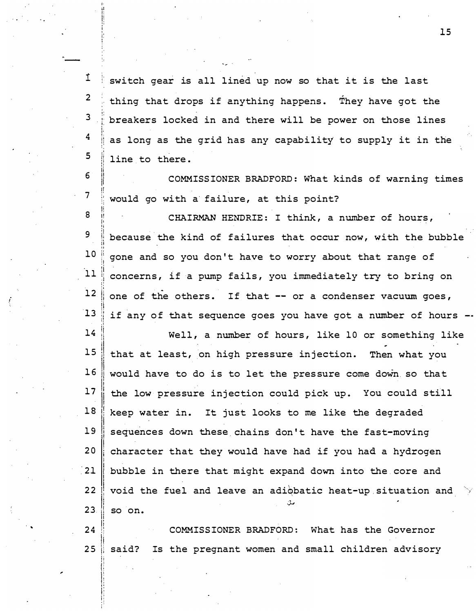1 2 <sup>3</sup>, . 1· . i. I. , .  $\boldsymbol{4}$ ; :  $\ddot{\phantom{1}}$  $5<sub>5</sub>$ . , I• "  $6 \epsilon$ II<br>II ,, i!  $7 \,$ •: 8 I! I• !i switch gear is all lined up now so that it is the last thing that drops if anything happens. They have got the breakers locked in and there will be power on those lines as long as the grid has any capability' to supply it in the line to there. COMMISS IONER BRADFORD: What kinds of warning times would go with a failure, at this point? CHAIRMAN HENDRIE: I think, a number of hours,

-- .

9 !I li : , il li 10 " � 1 11 12 13 because the kind of failures that occur now, with the bubble gone and so you don't have to worry about that range of concerns, if a pump fails, you immediately try to bring on one of the others. If that -- or a condenser vacuum goes, if any of that sequence goes you have got a number of hours --

'

14 15 16 17 18 19 20 21 22 23 Well, a number of hours, like 10 or something like that at least, on high pressure injection. Then what you would have to do is to let the pressure come down so that the low pressure injection could pick up. You could still keep water in. It just looks to me like the degraded sequences down these chains don't have the fast-moving character that they would have had if you had a hydrogen bubble in there that might expand down into the core and void the fuel and leave an adiqbatic heat-up.situation and so on.

 $24$ 25 COMMISS IONER BRADFORD: What has the Governor said? Is the pregnant women and small children advisory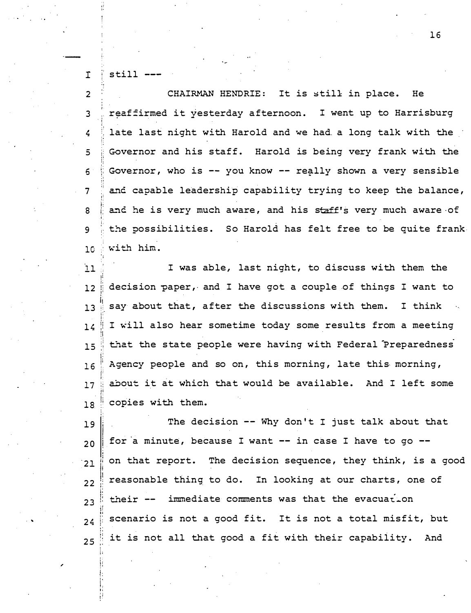$\mathbf{I}$  $still --$ 

CHAIRMAN HENDRIE: It is still in place. He  $\overline{2}$ reaffirmed it yesterday afternoon. I went up to Harrisburg  $\overline{3}$ late last night with Harold and we had a long talk with the 4 Governor and his staff. Harold is being very frank with the 5 Governor, who is -- you know -- really shown a very sensible  $\epsilon$ and capable leadership capability trying to keep the balance, 7 and he is very much aware, and his staff's very much aware of 8 the possibilities. So Harold has felt free to be quite frank 9 with him.  $10$ 

I was able, last night, to discuss with them the  $11$ decision paper, and I have got a couple of things I want to  $12!$ say about that, after the discussions with them. I think  $13$ I will also hear sometime today some results from a meeting  $12$ that the state people were having with Federal Preparedness  $15$ Agency people and so on, this morning, late this morning,  $16$ about it at which that would be available. And I left some  $17$ copies with them.  $18$ 

The decision -- Why don't I just talk about that 19 for a minute, because I want -- in case I have to go -- $20$ on that report. The decision sequence, they think, is a good  $21$ reasonable thing to do. In looking at our charts, one of  $22$ their -- immediate comments was that the evacuation  $23$ scenario is not a good fit. It is not a total misfit, but  $24$ it is not all that good a fit with their capability. And  $25$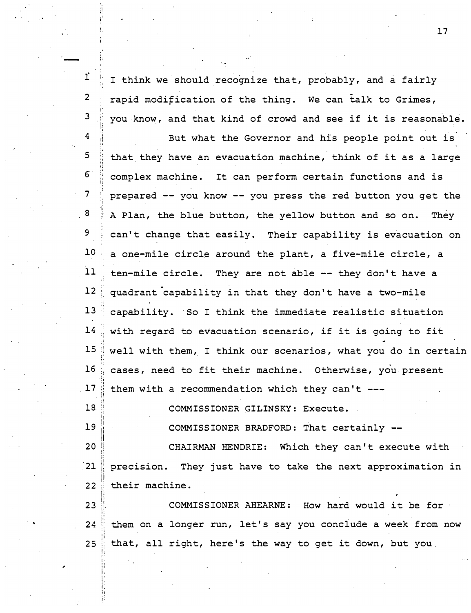I think we should recognize that, probably, and a fairly 2 , . 3 , . :: rapid modification of the thing. We can talk to Grimes, you know, and that kind of crowd and see if it is reasonable.

..

,

il 18. :! ;; i,

<sup>19</sup>!I

!:  $\overline{4}$ li ,,  $5<sup>5</sup>$ 'i !! !;  $6<sup>°</sup>$ l: !j 7  $\mathbf{H}$ � ; <sup>8</sup>,; ,. ,, i• 9 10 11 .:  $12$ :• ;j . ; 13 14 15 " :: 16 !i  $17$ ; , ii •: But what the Governor and his people point out is that they have an evacuation machine, think of it as a large complex machine. It can perform certain functions and is prepared - - you know - - you press the red button you get the A Plan, the blue button, the yellow button and so on. They can't change that easily. Their capability is evacuation on a one-mile circle around the plant, a five-mile circle, a ten-mile circle. They are not able -- they don't have a quadrant capability in that they don't have a two-mile capability. So I think the immediate realistic situation with regard to evacuation scenario, if it is going to fit well with them, I think our scenarios, what you do in certain cases, need to fit their machine. Otherwise, you present them with a recommendation which they can't ---

COMMISSIONER GILINSKY: Execute.

COMMISS IONER BRADFORD: That certainly --

li<br>!!<br>!!  $20$ 1:  $\cdot$  21 !¦ **22** t: CHAIRMAN HENDRIE: Which they can't execute with precision. They just have to take the next approximation in their machine.

<sup>23</sup>I! ;j i:  $24$ :; il ·I 25 COMMIS SIONER AHEARNE: How hard would it be for · them on a longer run, let's say you conclude a week from now that, all right, here's the way to get it down, but you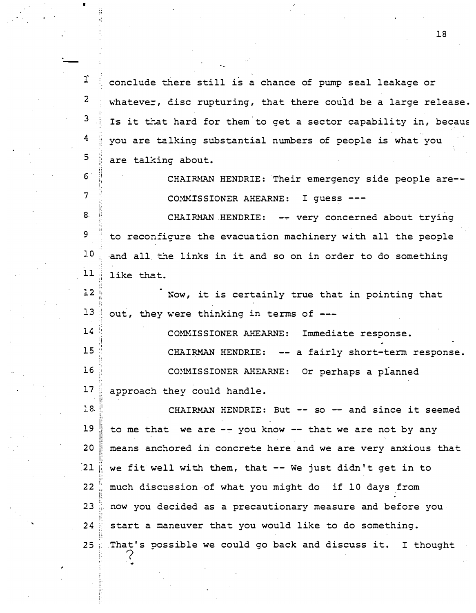T. conclude there still is a chance of pump seal leakage or  $\overline{2}$ whatever, disc rupturing, that there could be a large release. Is it that hard for them to get a sector capability in, becaus 3 4 you are talking substantial numbers of people is what you 5 are talking about. 6 CHAIRMAN HENDRIE: Their emergency side people are-- $\overline{7}$ COMMISSIONER AHEARNE: I guess ---8. CHAIRMAN HENDRIE: -- very concerned about trying 9 to reconfigure the evacuation machinery with all the people  $10$ and all the links in it and so on in order to do something  $11$ like that.  $12$ Now, it is certainly true that in pointing that  $13$ out, they were thinking in terms of --- $14$ COMMISSIONER AHEARNE: Immediate response. 15 CHAIRMAN HENDRIE: -- a fairly short-term response.  $16$ CONMISSIONER AHEARNE: Or perhaps a planned  $17$ approach they could handle. 18. CHAIRMAN HENDRIE: But  $--$  so  $--$  and since it seemed  $19$ to me that we are  $--$  you know  $--$  that we are not by any 20 means anchored in concrete here and we are very anxious that  $21$ we fit well with them, that  $-$  We just didn't get in to  $22$ much dis cus sion of what you might do if 10 days from 23 now you decided as a precautionary measure and before you·  $24$ s tart a maneuver that you would like to do something. 25 That's possible we could go back and discuss it. I thought  $\zeta$ 

18

•

 $\bullet$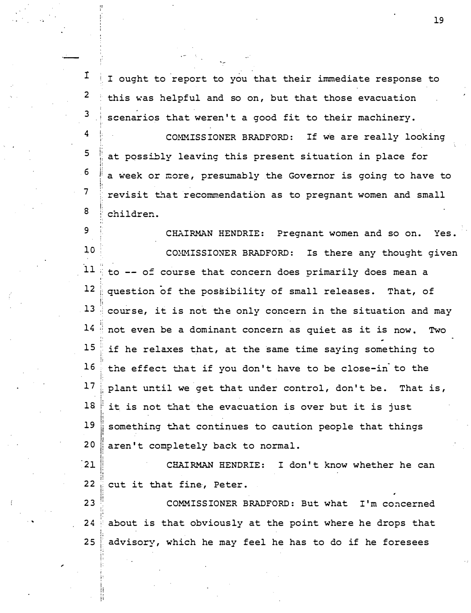I 2 3 4 5 6 7 ;· i. ,. i .. !; !; i: j; :· ;: I ought to report to you that their immediate response to this was helpful and so on, but that those evacuation scenarios that weren't a good fit to their machinery. COMMISS IONER BRADFORD: If we are really looking at possibly leaving this present situation in place for a week or more, presumably the Governor is going to have to revisit that recommendation as to pregnant women and small

8 children.

,.

. ·•

9 1,0 11 12 CHAIRMAN HENDRIE: Pregnant women and so on. Yes. COMISSIONER BRADFORD: Is there any thought given to -- of course that concern does primarily does mean a question of the possibility of small releases. That, of 13 course, it is not the only concern in the situation and may  $14$  not even be a dominant concern as quiet as it is now. Two  $15$  if he relaxes that, at the same time saying something to  $16$  the effect that if you don't have to be close-in to the  $17$  plant until we get that under control, don't be. That is,  $18$  it is not that the evacuation is over but it is just  $19$  something that continues to caution people that things 20 aren't completely back to normal.

 $21$ CHAIRMAN HENDRIE: I don't know whether he can  $22$  cut it that fine, Peter.

23<sup>1</sup> COMMISS IONER BRADFORD: But what I'm concerned  $24$  about is that obviously at the point where he drops that  $25$  advisory, which he may feel he has to do if he foresees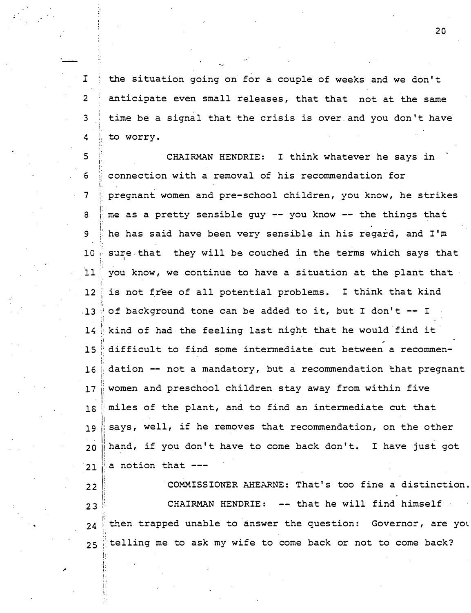the situation going on for a couple of weeks and we don't I.  $\overline{2}$ anticipate even small releases, that that not at the same time be a signal that the crisis is over and you don't have to worry. 4

3

5 CHAIRMAN HENDRIE: I think whatever he says in  $\epsilon$ connection with a removal of his recommendation for pregnant women and pre-school children, you know, he strikes 7 me as a pretty sensible guy -- you know -- the things that 8 he has said have been very sensible in his regard, and I'm 9  $10$ sure that they will be couched in the terms which says that you know, we continue to have a situation at the plant that  $11$ is not free of all potential problems. I think that kind  $12$  $.13$ of background tone can be added to it, but I don't -- I kind of had the feeling last night that he would find it  $14$ difficult to find some intermediate cut between a recommen- $15$ dation -- not a mandatory, but a recommendation that pregnant  $16$ women and preschool children stay away from within five  $17$ miles of the plant, and to find an intermediate cut that  $18$ says, well, if he removes that recommendation, on the other 19 hand, if you don't have to come back don't. I have just got  $20$ a notion that ---21

COMMISSIONER AHEARNE: That's too fine a distinction.  $22$ CHAIRMAN HENDRIE: -- that he will find himself  $23$ then trapped unable to answer the question: Governor, are you  $24$ telling me to ask my wife to come back or not to come back?  $25$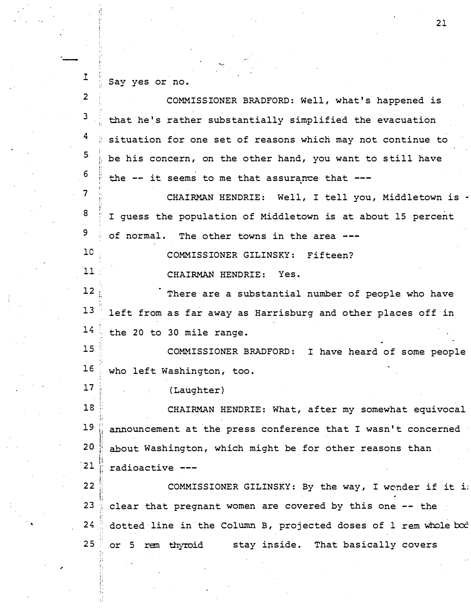I Say yes or no.

, .

,

;• '· i.

2 COMMISS IONER BRADFORD: Well, what's happened is 3 that he's rather substantially simplified the evacuation 4 situation for one set of reasons which may not continue to <sup>5</sup>j· be his concern, on the other hand, you want to still have '• i· !: 6 the -- it seems to me that assurance that ! ' , . 7 CHAIRMAN HENDRIE: Well, I tell you, Middletown is -!; i: 8 ' , . I guess the population of Middletown is at about 15 percent 9 of normal. The other towns in the area 10 COMMISS IONER GILINSKY: Fifteen?  $11$ CHAIRMAN HENDRIE: Yes. 12' There are a substantial number of people who have 13 left from as far away as Harrisburg and other places off in 14: the 20 to 30 mile range. 15 ·. COMMISSIONER BRADFORD: I have heard of some people  $;$ 16 who left Washington, too. i 17 ( Laughter) 18 CHAIRMAN HENDRIE: What, after my somewhat equivocal I !' 19 announcement at the press conference that I wasn't concerned  $20$   $\frac{1}{2}$  about Washington, which might be for other reasons than  $\mathbf{21}$   $\mathbf{r}$  radioactive ---22 COMMISSIONER GILINSKY: By the way, I wonder if it i ,: � !  $23$   $\frac{1}{3}$  clear that pregnant women are covered by this one -- the !;  $24$  dotted line in the Column B, projected doses of 1 rem whole  $b$ cod 25 or 5 rem thyroid stay inside. That basically covers

 $\frac{21}{2}$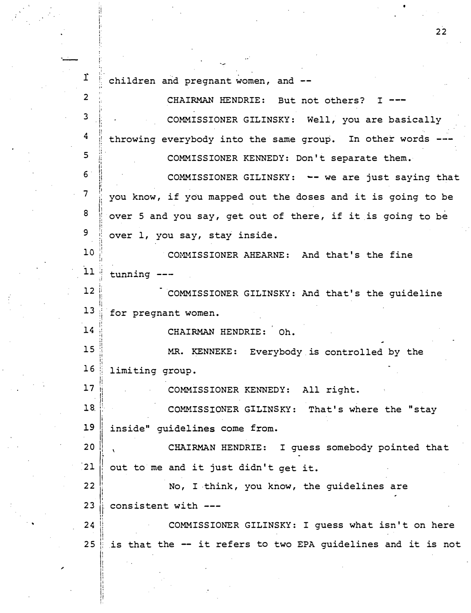r children and pregnant women, and -- $\overline{2}$ CHAIRMAN HENDRIE: But not others?  $I$   $---$ 3 COMMISSIONER GILINSKY: Well, you are basically 4 throwing everybody into the same group. In other words 5 COMMISSIONER KENNEDY: Don't separate them.  $6 \overline{6}$ COMMISSIONER GILINSKY: -- we are just saying that  $\overline{7}$ you know, if you mapped out the doses and it is going to be 8 over 5 and you say, get out of there, if it is going to be 9 over 1, you say, stay inside.  $10$ COMMISSIONER AHEARNE: And that's the fine  $11$ tunning --- $12$ COMMISSIONER GILINSKY: And that's the quideline  $13<sup>7</sup>$ for pregnant women.  $14$ CHAIRMAN HENDRIE: Oh.  $15$ MR. KENNEKE: Everybody is controlled by the  $16:$ limiting group.  $17$ COMMISSIONER KENNEDY: All right.  $18$ COMMISSIONER GILINSKY: That's where the "stay 19 inside" quidelines come from.  $20$ CHAIRMAN HENDRIE: I guess somebody pointed that  $21$ out to me and it just didn't get it. 22 No, I think, you know, the guidelines are 23 consistent with --- $24$ COMMISSIONER GILINSKY: I guess what isn't on here  $25$ is that the -- it refers to two EPA guidelines and it is not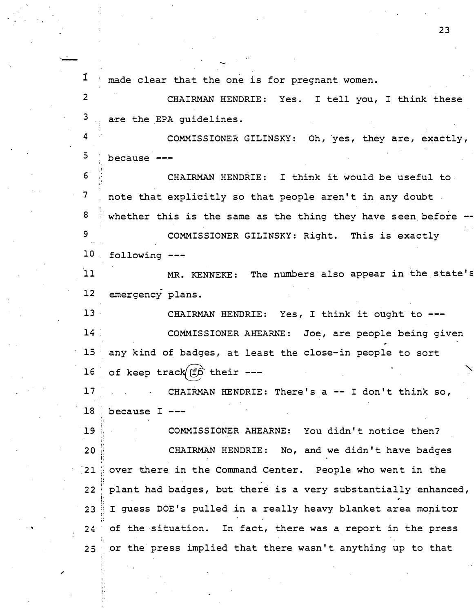$1$  made clear that the one is for pregnant women. 2 CHAIRMAN HENDRIE: Yes. I tell you, I think these 3 are the EPA quidelines. 4 COMMISSIONER GILINSKY: Oh, yes, they are, exactly,  $5$  because  $-$ 6 CHAIRMAN HENDRIE : I think it would be useful to 7 note that explicitly so that people aren't in any doubt 8 9 10 whether this is the same as the thing they have seen before  $-$ COMMISSIONER GILINSKY: Right. This is exactly following 11 MR. KENNEKE: The numbers also appear in the state's 12 13 14 15 16 17 18 :i ; : 19 ; � 20 i; :• !'  $21$ •· •i " i• 22 ! 23 24 25 emergency plans . CHAIRMAN HENDRIE: Yes, I think it ought to ---COMMISSIONER AHEARNE: Joe, are people being given any kind of badges, at least the close-in people to sort of keep track  $f(x)$  their  $-$ because  $I$   $---$ CHAIRMAN HENDRIE: There's a  $-$  I don't think so, COMMISSIONER AHEARNE: You didn't notice then? CHAIRMAN HENDRIE: No, and we didn't have badges over there in the Command Center. People who went in the ' plant had badges, but there is a very substantially enhanced,  $\mathbf{N}$ I guess DOE's pulled in a really heavy blanket area monitor of the situation. In fact, there was a report in the press or the press implied that there wasn 't anything up to that

23

'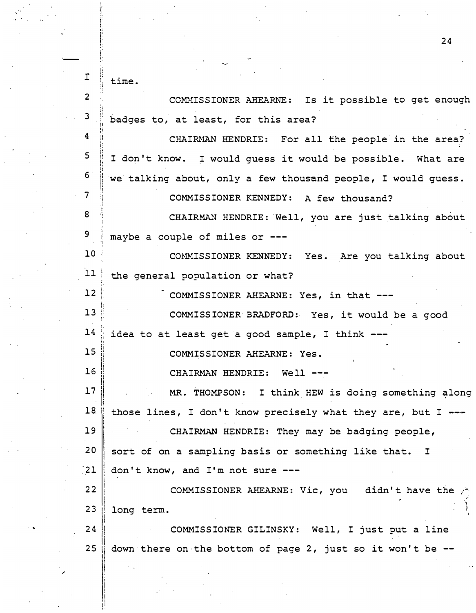·- I  $2<sup>2</sup>$ !,  $3 \quad |$ ' . ' p  $\boldsymbol{4}$ ii I. I;  $5$ t; ji  $\begin{array}{c} 6 \\ 7 \end{array}$ 8 li 1:  $\frac{1}{2}$ " :• 9 !J : !: � I  $10$ ! ll 12 13 14 15 i 16 <sup>I</sup> I li<br>Ii 17 ||<br>||<br>|| 18. I I I <sup>19</sup>I 20 '21 22 23 24 25 time . COMMISSIONER AHEARNE: Is it possible to get enough badges to, at least, for this area? CHAIRMAN HENDRIE: For all the people in the area? I don't know. I would guess it would be possible. What are we talking about, only a few thousand people, I would guess . COMMISSIONER KENNEDY: A few thousand? CHAIRMAN HENDRIE: Well, you are just talking about maybe a couple of miles or ---COMMISSIONER KENNEDY: Yes. Are you talking about the general population or what? COMMISSIONER AHEARNE: Yes, in that ---COMMISS IONER BRADFORD: Yes, it would be a good idea to at least get a good sample, I think ---COMMISSIONER AHEARNE: Yes. CHAIRMAN HENDRIE: Well ---MR. THOMPSON: I think HEW is doing something along those lines, I don't know precisely what they are, but I  $---$ CHAIRMAN HENDRIE: They may be badging people, sort of on a sampling basis or something like that. I don't know, and I'm not sure --- COMMISSIONER AHEARNE: Vic, you didn't have the .,;.·: long term.  $\sum_{i=1}^{n}$ COMMISSIONER GILINSKY: Well, I just put a line down there on the bottom of page 2, just so it won't be  $-$ -

24

,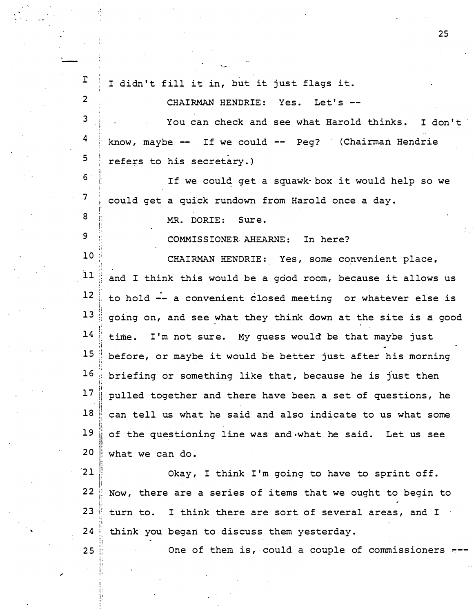| I.            | I didn't fill it in, but it just flags it.                   |
|---------------|--------------------------------------------------------------|
| $\mathbf{2}$  | CHAIRMAN HENDRIE: Yes. Let's --                              |
| 3             | You can check and see what Harold thinks. I don't            |
| 4             | know, maybe -- If we could -- Peg? (Chairman Hendrie         |
| 5             | refers to his secretary.)                                    |
| 6             | If we could get a squawk box it would help so we             |
| 7             | could get a quick rundown from Harold once a day.            |
| 8             | MR. DORIE: Sure.                                             |
| 9             | COMMISSIONER AHEARNE: In here?                               |
| 10            | CHAIRMAN HENDRIE: Yes, some convenient place,                |
| 11            | and I think this would be a good room, because it allows us  |
| 12            | to hold -- a convenient closed meeting or whatever else is   |
| 13            | going on, and see what they think down at the site is a good |
| 14            | time. I'm not sure. My guess would be that maybe just        |
| 15            | before, or maybe it would be better just after his morning   |
| 16            | briefing or something like that, because he is just then     |
| 17            | pulled together and there have been a set of questions, he   |
| 18.           | can tell us what he said and also indicate to us what some   |
| 19            | of the questioning line was and what he said. Let us see     |
| 20            | what we can do.                                              |
| $\mathbf{21}$ | Okay, I think I'm going to have to sprint off.               |
| $22$          | Now, there are a series of items that we ought to begin to   |
| 23            | turn to. I think there are sort of several areas, and I      |
| 24            | think you began to discuss them yesterday.                   |
| 25            | One of them is, could a couple of commissioners              |
|               |                                                              |

. '

i.

,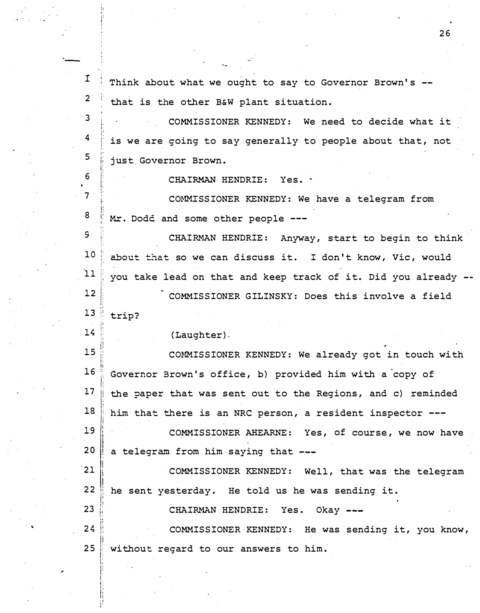| 1              | Think about what we ought to say to Governor Brown's --        |
|----------------|----------------------------------------------------------------|
| $2^{\circ}$    | that is the other B&W plant situation.                         |
| 3              | COMMISSIONER KENNEDY: We need to decide what it                |
| 4              | is we are coing to say generally to people about that, not     |
| 5              | just Governor Brown.                                           |
| 6<br>$\bullet$ | CHAIRMAN HENDRIE: Yes. .                                       |
| $\overline{7}$ | COMMISSIONER KENNEDY: We have a telegram from                  |
| 8              | Mr. Dodd and some other people ---                             |
| S              | CHAIRMAN HENDRIE: Anyway, start to begin to think              |
| 10             | about that so we can discuss it. I don't know, Vic, would      |
| 11             | you take lead on that and keep track of it. Did you already -- |
| 12             | COMMISSIONER GILINSKY: Does this involve a field               |
| 13             | trip?                                                          |
| 14             | (Laughter).                                                    |
| 15             | COMMISSIONER KENNEDY: We already got in touch with             |
| 16             | Governor Brown's office, b) provided him with a copy of        |
| 17             | the paper that was sent out to the Regions, and c) reminded    |
| 18             | him that there is an NRC person, a resident inspector ---      |
| 19             | COMMISSIONER AHEARNE: Yes, of course, we now have              |
| 20             | a telegram from him saying that ---                            |
| $\frac{1}{2}$  | COMMISSIONER KENNEDY: Well, that was the telegram              |
| 22             | he sent yesterday. He told us he was sending it.               |
| 23             | CHAIRMAN HENDRIE: Yes. Okay ---                                |
| 24             | COMMISSIONER KENNEDY: He was sending it, you know,             |
| 25             | without regard to our answers to him.                          |
|                |                                                                |

r I i I I I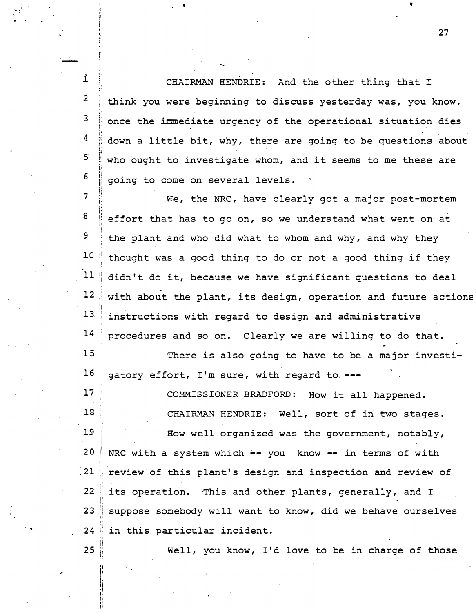ì CHAIRMAN HENDRIE: And the other thing that I  $2^{\circ}$ think you were beginning to discuss yesterday was, you know, 3 once the irmediate urgency of the operational situation dies 4 down a little bit, why, there are going to be questions about 5 who ought to investigate whom, and it seems to me these are 6 going to come on several levels.

 $\overline{7}$ We, the NRC, have clearly got a major post-mortem 8 effort that has to go on, so we understand what went on at 9 the plant and who did what to whom and why, and why they  $10$ thought was a good thing to do or not a good thing if they  $11$ didn't do it, because we have significant questions to deal  $12$ with about the plant, its design, operation and future actions  $13$ instructions with regard to design and administrative  $14$ procedures and so on. Clearly we are willing to do that.

 $15$ There is also going to have to be a major investi- $16$ gatory effort, I'm sure, with regard to ---

COMMISSIONER BRADFORD: How it all happened.

CHAIRMAN HENDRIE: Well, sort of in two stages.

19 How well organized was the government, notably,  $20$ NRC with a system which -- you know -- in terms of with  $21$ review of this plant's design and inspection and review of  $22$ its operation. This and other plants, generally, and I 23 suppose somebody will want to know, did we behave ourselves  $24$ in this particular incident.

25

 $17$ 

 $18$ 

Well, you know, I'd love to be in charge of those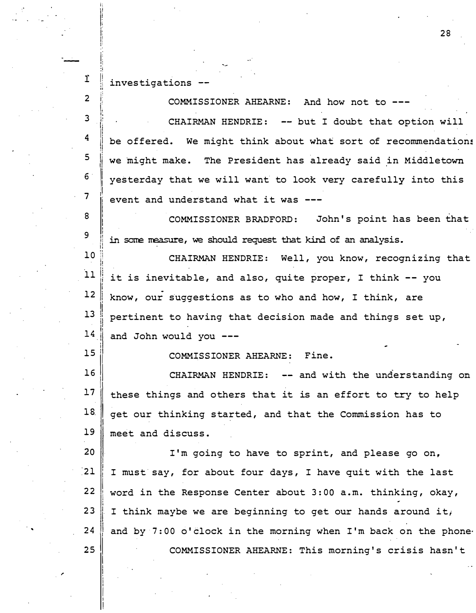$1$  investigations

i;<br>|| I! ,. 1: " li I' ·'

!<br>! i I I I i!

2 3 4 5 1: i: 1; i �  $\mathbf{I}$ II ji il<br>I  $\begin{array}{c} \mathbf{6} \\ \ \end{array}$ ,! 7 8 9 I! i l I I ,I li li ii  $10$ li ,, **11** II  $12$  $\parallel$  $13$ il  $14$  $15$ |<br>|<br>| I 16<br>17  $\begin{array}{c} \texttt{17}\ \texttt{18}\ \texttt{.} \end{array}$ I 19 20 I  $\frac{1}{2}$ 22 I 23<br>24  $\begin{array}{c} 2\,4 \\ 2\,5 \end{array}$ I COMMISSIONER AHEARNE: And how not to ---CHAIRMAN HENDRIE: -- but I doubt that option will be offered. We might think about what sort of recommendations we might make. The President has already said in Middletown yesterday that we will want to look very carefully into this event and understand what it was COMMISSIONER BRADFORD: John's point has been that in some measure, we should request that kind of an analysis. CHAIRMAN HENDRIE: Well, you know, recognizing that it is inevitable, and also, quite proper, I think  $--$  you know, our suggestions as to who and how, I think, are pertinent to having that decision made and things set up , and John would you --- COMMISSIONER AHEARNE: Fine. CHAIRMAN HENDRIE: -- and with the understanding on these things and others that it is an effort to try to help get our thinking started, and that the Commission has to meet and discuss. I'm going to have to sprint, and please go on, I must say, for about four days, I have quit with the last word in the Response Center about  $3:00$  a.m. thinking, okay, I think maybe we are beginning to get our hands around it; and by  $7:00$  o' clock in the morning when  $I'm$  back on the phone. COMMISSIONER AHEARNE: This morning's crisis hasn't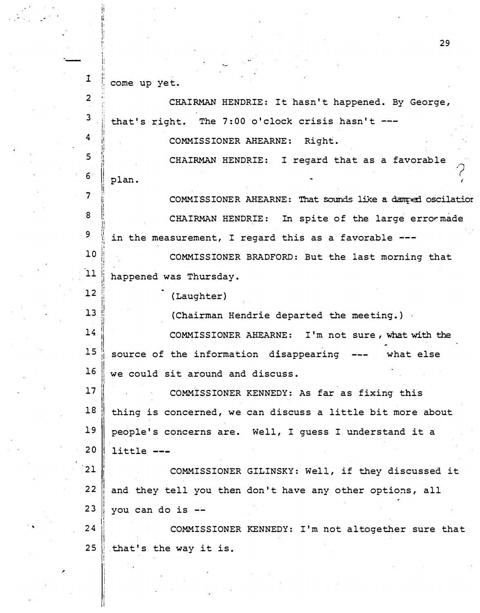$\mathbf{I}$ I• ; · :· come up yet.

L ji •'

l i ! 1: I' !'

i: i ,, "

i! o l II

' - <sup>I</sup>

 $\overline{2}$ 

 $\boldsymbol{4}$ 

5

 $6 \,$ 

7 J

8 I

9

 $12$ 

'I

I'  $13$ ;. ,. ol I!

I

 $\mathbf{I}$ I i

 $\mathop{||}$ 

-

I. ,. <sup>3</sup>i: CHAIRMAN HENDRIE: It hasn't happened. By George, that's right. The 7:00 o'clock crisis hasn't  $--$ 

COMMISSIONER AHEARNE: Right.

., !! plan . CHAIRMAN HENDRIE: I regard that as a favorable

I' ji !<br>!<br>! II 1: 'I COMMISSIONER AHEARNE: That sounds like a damped oscilation CHAIRMAN HENDRIE: In spite of the large error made in the measurement, I regard this as a favorable  $---$ 

 $10$ ,, l i I• I' 11 <sup>11</sup> 'I I• I' COMMIS SIONER BRADFORD : But the last morning that happened was Thursday .

( Laughter)

(Chairman Hendrie departed the meeting.)

14  $15$ Ji jl 16 ||<br>||<br>| COMMISSIONER AHEARNE: I'm not sure, what with the source of the information disappearing --- what else we could sit around and discuss.

**17** I 'I **18** I I **19** I  $20$ COMMISSIONER KENNEDY: As far as fixing this thing is concerned, we can discuss a little bit more about people's concerns are. Well, I guess I understand it a little ---

 $21$ I  $22$ i i i  $23$ f COMMISSIONER GILINSKY: Well, if they discussed it and they tell you then don't have any other options, all you can do is  $--$ 

Jl 24 l  $25$ |<br>|<br>| COMMISSIONER KENNEDY: I'm not altogether sure that that's the way it is.